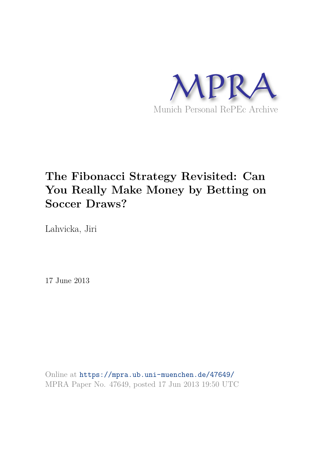

# **The Fibonacci Strategy Revisited: Can You Really Make Money by Betting on Soccer Draws?**

Lahvicka, Jiri

17 June 2013

Online at https://mpra.ub.uni-muenchen.de/47649/ MPRA Paper No. 47649, posted 17 Jun 2013 19:50 UTC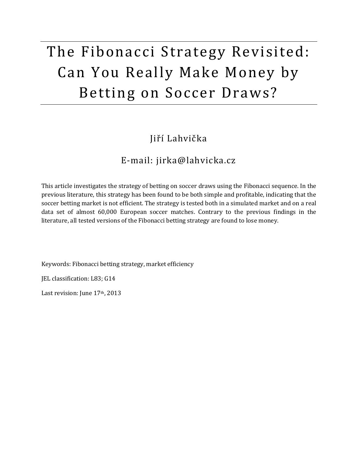# The Fibonacci Strategy Revisited: Can You Really Make Money by Betting on Soccer Draws?

#### Jiří Lahvička

#### E-mail: jirka@lahvicka.cz

This article investigates the strategy of betting on soccer draws using the Fibonacci sequence. In the previous literature, this strategy has been found to be both simple and profitable, indicating that the soccer betting market is not efficient. The strategy is tested both in a simulated market and on a real data set of almost 60,000 European soccer matches. Contrary to the previous findings in the literature, all tested versions of the Fibonacci betting strategy are found to lose money.

Keywords: Fibonacci betting strategy, market efficiency

JEL classification: L83; G14

Last revision: June 17th, 2013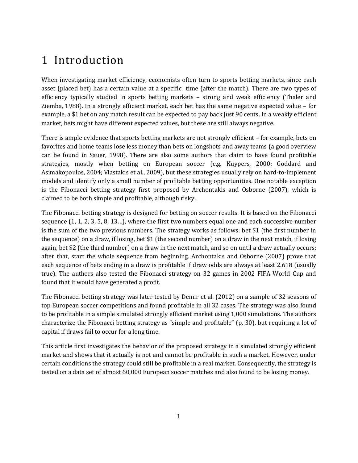# 1 Introduction

When investigating market efficiency, economists often turn to sports betting markets, since each asset (placed bet) has a certain value at a specific time (after the match). There are two types of efficiency typically studied in sports betting markets – strong and weak efficiency (Thaler and Ziemba, 1988). In a strongly efficient market, each bet has the same negative expected value – for example, a \$1 bet on any match result can be expected to pay back just 90 cents. In a weakly efficient market, bets might have different expected values, but these are still always negative.

There is ample evidence that sports betting markets are not strongly efficient – for example, bets on favorites and home teams lose less money than bets on longshots and away teams (a good overview can be found in Sauer, 1998). There are also some authors that claim to have found profitable strategies, mostly when betting on European soccer (e.g. Kuypers, 2000; Goddard and Asimakopoulos, 2004; Vlastakis et al., 2009), but these strategies usually rely on hard-to-implement models and identify only a small number of profitable betting opportunities. One notable exception is the Fibonacci betting strategy first proposed by Archontakis and Osborne (2007), which is claimed to be both simple and profitable, although risky.

The Fibonacci betting strategy is designed for betting on soccer results. It is based on the Fibonacci sequence (1, 1, 2, 3, 5, 8, 13…), where the first two numbers equal one and each successive number is the sum of the two previous numbers. The strategy works as follows: bet \$1 (the first number in the sequence) on a draw, if losing, bet \$1 (the second number) on a draw in the next match, if losing again, bet \$2 (the third number) on a draw in the next match, and so on until a draw actually occurs; after that, start the whole sequence from beginning. Archontakis and Osborne (2007) prove that each sequence of bets ending in a draw is profitable if draw odds are always at least 2.618 (usually true). The authors also tested the Fibonacci strategy on 32 games in 2002 FIFA World Cup and found that it would have generated a profit.

The Fibonacci betting strategy was later tested by Demir et al. (2012) on a sample of 32 seasons of top European soccer competitions and found profitable in all 32 cases. The strategy was also found to be profitable in a simple simulated strongly efficient market using 1,000 simulations. The authors characterize the Fibonacci betting strategy as "simple and profitable" (p. 30), but requiring a lot of capital if draws fail to occur for a long time.

This article first investigates the behavior of the proposed strategy in a simulated strongly efficient market and shows that it actually is not and cannot be profitable in such a market. However, under certain conditions the strategy could still be profitable in a real market. Consequently, the strategy is tested on a data set of almost 60,000 European soccer matches and also found to be losing money.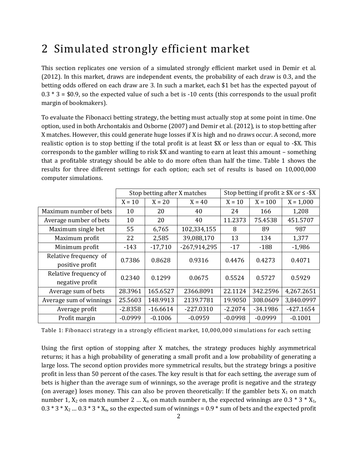## 2 Simulated strongly efficient market

This section replicates one version of a simulated strongly efficient market used in Demir et al. (2012). In this market, draws are independent events, the probability of each draw is 0.3, and the betting odds offered on each draw are 3. In such a market, each \$1 bet has the expected payout of  $0.3 * 3 = $0.9$ , so the expected value of such a bet is -10 cents (this corresponds to the usual profit margin of bookmakers).

To evaluate the Fibonacci betting strategy, the betting must actually stop at some point in time. One option, used in both Archontakis and Osborne (2007) and Demir et al. (2012), is to stop betting after X matches. However, this could generate huge losses if X is high and no draws occur. A second, more realistic option is to stop betting if the total profit is at least \$X or less than or equal to -\$X. This corresponds to the gambler willing to risk \$X and wanting to earn at least this amount – something that a profitable strategy should be able to do more often than half the time. [Table 1](#page-3-0) shows the results for three different settings for each option; each set of results is based on 10,000,000 computer simulations.

|                                          | Stop betting after X matches |            | Stop betting if profit $\geq$ \$X or $\leq$ -\$X |           |            |             |
|------------------------------------------|------------------------------|------------|--------------------------------------------------|-----------|------------|-------------|
|                                          | $X = 10$                     | $X = 20$   | $X = 40$                                         | $X = 10$  | $X = 100$  | $X = 1,000$ |
| Maximum number of bets                   | 10                           | 20         | 40                                               | 24        | 166        | 1,208       |
| Average number of bets                   | 10                           | 20         | 40                                               | 11.2373   | 75.4538    | 451.5707    |
| Maximum single bet                       | 55                           | 6,765      | 102,334,155                                      | 8         | 89         | 987         |
| Maximum profit                           | 22                           | 2,585      | 39,088,170                                       | 13        | 134        | 1,377       |
| Minimum profit                           | -143                         | $-17,710$  | $-267,914,295$                                   | $-17$     | $-188$     | $-1,986$    |
| Relative frequency of<br>positive profit | 0.7386                       | 0.8628     | 0.9316                                           | 0.4476    | 0.4273     | 0.4071      |
| Relative frequency of<br>negative profit | 0.2340                       | 0.1299     | 0.0675                                           | 0.5524    | 0.5727     | 0.5929      |
| Average sum of bets                      | 28.3961                      | 165.6527   | 2366.8091                                        | 22.1124   | 342.2596   | 4,267.2651  |
| Average sum of winnings                  | 25.5603                      | 148.9913   | 2139.7781                                        | 19.9050   | 308.0609   | 3,840.0997  |
| Average profit                           | $-2.8358$                    | $-16.6614$ | $-227.0310$                                      | $-2.2074$ | $-34.1986$ | $-427.1654$ |
| Profit margin                            | $-0.0999$                    | $-0.1006$  | $-0.0959$                                        | $-0.0998$ | $-0.0999$  | $-0.1001$   |

<span id="page-3-0"></span>Table 1: Fibonacci strategy in a strongly efficient market, 10,000,000 simulations for each setting

Using the first option of stopping after X matches, the strategy produces highly asymmetrical returns; it has a high probability of generating a small profit and a low probability of generating a large loss. The second option provides more symmetrical results, but the strategy brings a positive profit in less than 50 percent of the cases. The key result is that for each setting, the average sum of bets is higher than the average sum of winnings, so the average profit is negative and the strategy (on average) loses money. This can also be proven theoretically: If the gambler bets  $X_1$  on match number 1,  $X_2$  on match number 2 ...  $X_n$  on match number n, the expected winnings are 0.3  $*$  3  $*$   $X_1$ ,  $0.3 * 3 * X_2$  ...  $0.3 * 3 * X_n$ , so the expected sum of winnings =  $0.9 *$  sum of bets and the expected profit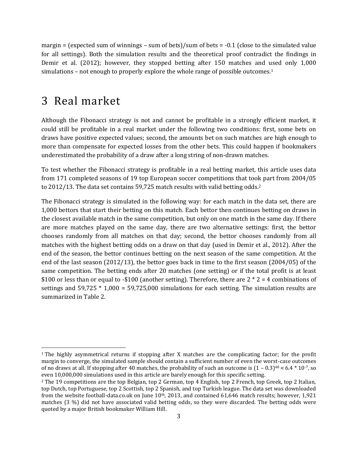margin = (expected sum of winnings – sum of bets)/sum of bets =  $-0.1$  (close to the simulated value for all settings). Both the simulation results and the theoretical proof contradict the findings in Demir et al. (2012); however, they stopped betting after 150 matches and used only 1,000 simulations – not enough to properly explore the whole range of possible outcomes.<sup>1</sup>

#### 3 Real market

l

Although the Fibonacci strategy is not and cannot be profitable in a strongly efficient market, it could still be profitable in a real market under the following two conditions: first, some bets on draws have positive expected values; second, the amounts bet on such matches are high enough to more than compensate for expected losses from the other bets. This could happen if bookmakers underestimated the probability of a draw after a long string of non-drawn matches.

To test whether the Fibonacci strategy is profitable in a real betting market, this article uses data from 171 completed seasons of 19 top European soccer competitions that took part from 2004/05 to 2012/13. The data set contains 59,725 match results with valid betting odds.<sup>2</sup>

The Fibonacci strategy is simulated in the following way: for each match in the data set, there are 1,000 bettors that start their betting on this match. Each bettor then continues betting on draws in the closest available match in the same competition, but only on one match in the same day. If there are more matches played on the same day, there are two alternative settings: first, the bettor chooses randomly from all matches on that day; second, the bettor chooses randomly from all matches with the highest betting odds on a draw on that day (used in Demir et al., 2012). After the end of the season, the bettor continues betting on the next season of the same competition. At the end of the last season (2012/13), the bettor goes back in time to the first season (2004/05) of the same competition. The betting ends after 20 matches (one setting) or if the total profit is at least \$100 or less than or equal to -\$100 (another setting). Therefore, there are  $2 * 2 = 4$  combinations of settings and 59,725 \* 1,000 = 59,725,000 simulations for each setting. The simulation results are summarized i[n Table 2.](#page-5-0)

<sup>1</sup> The highly asymmetrical returns if stopping after X matches are the complicating factor; for the profit margin to converge, the simulated sample should contain a sufficient number of even the worst-case outcomes of no draws at all. If stopping after 40 matches, the probability of such an outcome is  $(1 - 0.3)^{40} \approx 6.4 * 10^{-7}$ , so even 10,000,000 simulations used in this article are barely enough for this specific setting.

<sup>2</sup> The 19 competitions are the top Belgian, top 2 German, top 4 English, top 2 French, top Greek, top 2 Italian, top Dutch, top Portuguese, top 2 Scottish, top 2 Spanish, and top Turkish league. The data set was downloaded from the website football-data.co.uk on June 10<sup>th</sup>, 2013, and contained 61,646 match results; however, 1,921 matches (3 %) did not have associated valid betting odds, so they were discarded. The betting odds were quoted by a major British bookmaker William Hill.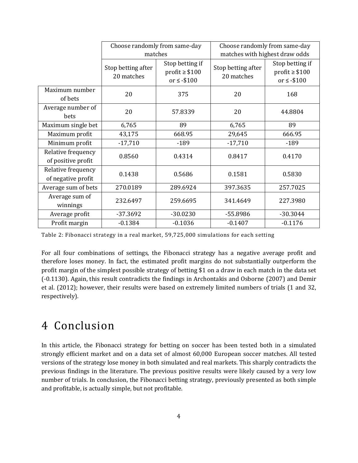|                                          |                                  | Choose randomly from same-day                            | Choose randomly from same-day    |                                                          |  |  |
|------------------------------------------|----------------------------------|----------------------------------------------------------|----------------------------------|----------------------------------------------------------|--|--|
|                                          |                                  | matches                                                  | matches with highest draw odds   |                                                          |  |  |
|                                          | Stop betting after<br>20 matches | Stop betting if<br>$profit \geq $100$<br>or $\le$ -\$100 | Stop betting after<br>20 matches | Stop betting if<br>$profit \geq $100$<br>or $\le$ -\$100 |  |  |
| Maximum number<br>of bets                | 20                               | 375                                                      | 20                               | 168                                                      |  |  |
| Average number of<br>bets                | 20                               | 57.8339                                                  | 20                               | 44.8804                                                  |  |  |
| Maximum single bet                       | 6,765                            | 89                                                       | 6,765                            | 89                                                       |  |  |
| Maximum profit                           | 43,175                           | 668.95                                                   | 29,645                           | 666.95                                                   |  |  |
| Minimum profit                           | $-17,710$                        | $-189$                                                   | $-17,710$                        | $-189$                                                   |  |  |
| Relative frequency<br>of positive profit | 0.8560                           | 0.4314                                                   | 0.8417                           | 0.4170                                                   |  |  |
| Relative frequency<br>of negative profit | 0.1438                           | 0.5686                                                   | 0.1581                           | 0.5830                                                   |  |  |
| Average sum of bets                      | 270.0189                         | 289.6924                                                 | 397.3635                         | 257.7025                                                 |  |  |
| Average sum of<br>winnings               | 232.6497                         | 259.6695                                                 | 341.4649                         | 227.3980                                                 |  |  |
| Average profit                           | $-37.3692$                       | $-30.0230$                                               | -55.8986                         | $-30.3044$                                               |  |  |
| Profit margin                            | $-0.1384$                        | $-0.1036$                                                | $-0.1407$                        | $-0.1176$                                                |  |  |

<span id="page-5-0"></span>Table 2: Fibonacci strategy in a real market, 59,725,000 simulations for each setting

For all four combinations of settings, the Fibonacci strategy has a negative average profit and therefore loses money. In fact, the estimated profit margins do not substantially outperform the profit margin of the simplest possible strategy of betting \$1 on a draw in each match in the data set (-0.1130). Again, this result contradicts the findings in Archontakis and Osborne (2007) and Demir et al. (2012); however, their results were based on extremely limited numbers of trials (1 and 32, respectively).

## 4 Conclusion

In this article, the Fibonacci strategy for betting on soccer has been tested both in a simulated strongly efficient market and on a data set of almost 60,000 European soccer matches. All tested versions of the strategy lose money in both simulated and real markets. This sharply contradicts the previous findings in the literature. The previous positive results were likely caused by a very low number of trials. In conclusion, the Fibonacci betting strategy, previously presented as both simple and profitable, is actually simple, but not profitable.